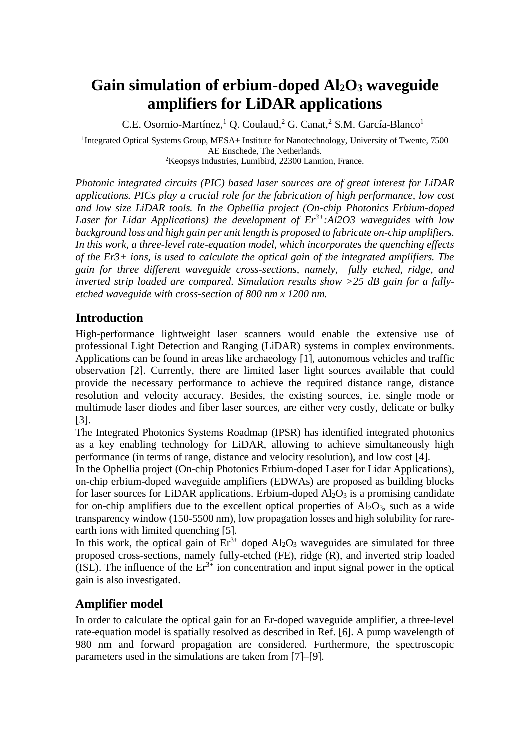# **Gain simulation of erbium-doped Al2O<sup>3</sup> waveguide amplifiers for LiDAR applications**

C.E. Osornio-Martínez,<sup>1</sup> Q. Coulaud,<sup>2</sup> G. Canat,<sup>2</sup> S.M. García-Blanco<sup>1</sup>

<sup>1</sup>Integrated Optical Systems Group, MESA+ Institute for Nanotechnology, University of Twente, 7500 AE Enschede, The Netherlands. <sup>2</sup>Keopsys Industries, Lumibird, 22300 Lannion, France.

*Photonic integrated circuits (PIC) based laser sources are of great interest for LiDAR applications. PICs play a crucial role for the fabrication of high performance, low cost and low size LiDAR tools. In the Ophellia project (On-chip Photonics Erbium-doped Laser for Lidar Applications) the development of Er3+:Al2O3 waveguides with low background loss and high gain per unit length is proposed to fabricate on-chip amplifiers. In this work, a three-level rate-equation model, which incorporates the quenching effects of the Er3+ ions, is used to calculate the optical gain of the integrated amplifiers. The gain for three different waveguide cross-sections, namely, fully etched, ridge, and inverted strip loaded are compared. Simulation results show >25 dB gain for a fullyetched waveguide with cross-section of 800 nm x 1200 nm.*

# **Introduction**

High-performance lightweight laser scanners would enable the extensive use of professional Light Detection and Ranging (LiDAR) systems in complex environments. Applications can be found in areas like archaeology [1], autonomous vehicles and traffic observation [2]. Currently, there are limited laser light sources available that could provide the necessary performance to achieve the required distance range, distance resolution and velocity accuracy. Besides, the existing sources, i.e. single mode or multimode laser diodes and fiber laser sources, are either very costly, delicate or bulky [3].

The Integrated Photonics Systems Roadmap (IPSR) has identified integrated photonics as a key enabling technology for LiDAR, allowing to achieve simultaneously high performance (in terms of range, distance and velocity resolution), and low cost [4].

In the Ophellia project (On-chip Photonics Erbium-doped Laser for Lidar Applications), on-chip erbium-doped waveguide amplifiers (EDWAs) are proposed as building blocks for laser sources for LiDAR applications. Erbium-doped  $Al_2O_3$  is a promising candidate for on-chip amplifiers due to the excellent optical properties of  $Al_2O_3$ , such as a wide transparency window (150-5500 nm), low propagation losses and high solubility for rareearth ions with limited quenching [5].

In this work, the optical gain of  $Er^{3+}$  doped  $Al_2O_3$  waveguides are simulated for three proposed cross-sections, namely fully-etched (FE), ridge (R), and inverted strip loaded  $(ISL)$ . The influence of the  $Er<sup>3+</sup>$  ion concentration and input signal power in the optical gain is also investigated.

# **Amplifier model**

In order to calculate the optical gain for an Er-doped waveguide amplifier, a three-level rate-equation model is spatially resolved as described in Ref. [6]. A pump wavelength of 980 nm and forward propagation are considered. Furthermore, the spectroscopic parameters used in the simulations are taken from [7]–[9].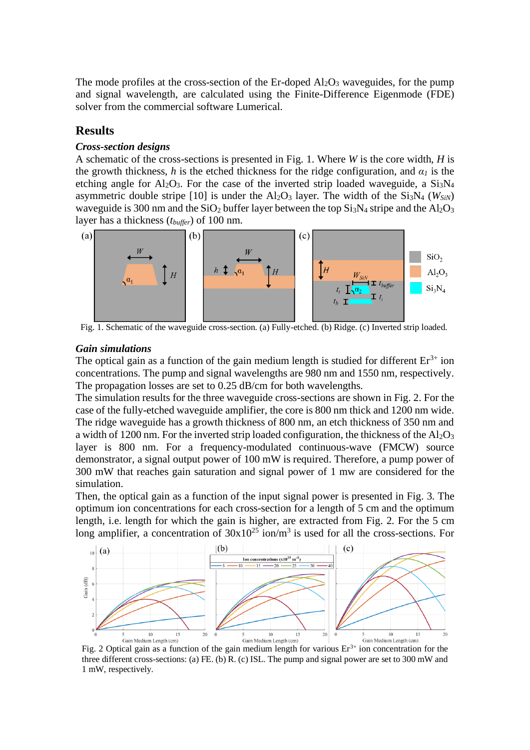The mode profiles at the cross-section of the Er-doped  $Al_2O_3$  waveguides, for the pump and signal wavelength, are calculated using the Finite-Difference Eigenmode (FDE) solver from the commercial software Lumerical.

## **Results**

#### *Cross-section designs*

A schematic of the cross-sections is presented in [Fig. 1.](#page-1-0) Where *W* is the core width, *H* is the growth thickness, *h* is the etched thickness for the ridge configuration, and  $\alpha_l$  is the etching angle for  $Al_2O_3$ . For the case of the inverted strip loaded waveguide, a  $Si_3N_4$ asymmetric double stripe  $[10]$  is under the Al<sub>2</sub>O<sub>3</sub> layer. The width of the Si<sub>3</sub>N<sub>4</sub> (*W<sub>SiN</sub>*) waveguide is 300 nm and the  $SiO_2$  buffer layer between the top  $Si<sub>3</sub>N<sub>4</sub>$  stripe and the Al<sub>2</sub>O<sub>3</sub> layer has a thickness (*tbuffer*) of 100 nm.



<span id="page-1-0"></span>Fig. 1. Schematic of the waveguide cross-section. (a) Fully-etched. (b) Ridge. (c) Inverted strip loaded.

#### *Gain simulations*

The optical gain as a function of the gain medium length is studied for different  $Er^{3+}$  ion concentrations. The pump and signal wavelengths are 980 nm and 1550 nm, respectively. The propagation losses are set to 0.25 dB/cm for both wavelengths.

The simulation results for the three waveguide cross-sections are shown in [Fig. 2.](#page-1-1) For the case of the fully-etched waveguide amplifier, the core is 800 nm thick and 1200 nm wide. The ridge waveguide has a growth thickness of 800 nm, an etch thickness of 350 nm and a width of 1200 nm. For the inverted strip loaded configuration, the thickness of the  $A1_2O_3$ layer is 800 nm. For a frequency-modulated continuous-wave (FMCW) source demonstrator, a signal output power of 100 mW is required. Therefore, a pump power of 300 mW that reaches gain saturation and signal power of 1 mw are considered for the simulation.

Then, the optical gain as a function of the input signal power is presented in [Fig. 3.](#page-2-0) The optimum ion concentrations for each cross-section for a length of 5 cm and the optimum length, i.e. length for which the gain is higher, are extracted from [Fig. 2.](#page-1-1) For the 5 cm long amplifier, a concentration of  $30x10^{25}$  ion/m<sup>3</sup> is used for all the cross-sections. For



<span id="page-1-1"></span>Fig. 2 Optical gain as a function of the gain medium length for various  $Er<sup>3+</sup>$  ion concentration for the three different cross-sections: (a) FE. (b) R. (c) ISL. The pump and signal power are set to 300 mW and 1 mW, respectively.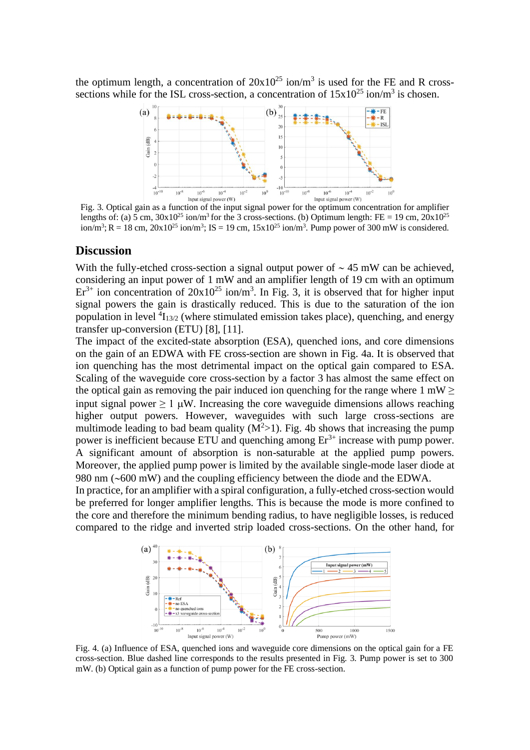the optimum length, a concentration of  $20x10^{25}$  ion/m<sup>3</sup> is used for the FE and R crosssections while for the ISL cross-section, a concentration of  $15x10^{25}$  ion/m<sup>3</sup> is chosen.



<span id="page-2-0"></span>Fig. 3. Optical gain as a function of the input signal power for the optimum concentration for amplifier lengths of: (a) 5 cm,  $30x10^{25}$  ion/m<sup>3</sup> for the 3 cross-sections. (b) Optimum length: FE = 19 cm,  $20x10^{25}$  $\text{ion/m}^3$ ; R = 18 cm, 20x10<sup>25</sup> ion/m<sup>3</sup>; IS = 19 cm, 15x10<sup>25</sup> ion/m<sup>3</sup>. Pump power of 300 mW is considered.

#### **Discussion**

With the fully-etched cross-section a signal output power of  $\sim$  45 mW can be achieved, considering an input power of 1 mW and an amplifier length of 19 cm with an optimum  $Er<sup>3+</sup>$  ion concentration of  $20x10^{25}$  ion/m<sup>3</sup>. In [Fig. 3,](#page-2-0) it is observed that for higher input signal powers the gain is drastically reduced. This is due to the saturation of the ion population in level  ${}^{4}I_{13/2}$  (where stimulated emission takes place), quenching, and energy transfer up-conversion (ETU) [8], [11].

The impact of the excited-state absorption (ESA), quenched ions, and core dimensions on the gain of an EDWA with FE cross-section are shown in [Fig. 4a](#page-2-1). It is observed that ion quenching has the most detrimental impact on the optical gain compared to ESA. Scaling of the waveguide core cross-section by a factor 3 has almost the same effect on the optical gain as removing the pair induced ion quenching for the range where 1 mW  $\geq$ input signal power  $\geq 1 \mu W$ . Increasing the core waveguide dimensions allows reaching higher output powers. However, waveguides with such large cross-sections are multimode leading to bad beam quality  $(M^2>1)$ . [Fig. 4b](#page-2-1) shows that increasing the pump power is inefficient because ETU and quenching among  $Er<sup>3+</sup>$  increase with pump power. A significant amount of absorption is non-saturable at the applied pump powers. Moreover, the applied pump power is limited by the available single-mode laser diode at 980 nm  $(-600 \text{ mW})$  and the coupling efficiency between the diode and the EDWA.

In practice, for an amplifier with a spiral configuration, a fully-etched cross-section would be preferred for longer amplifier lengths. This is because the mode is more confined to the core and therefore the minimum bending radius, to have negligible losses, is reduced compared to the ridge and inverted strip loaded cross-sections. On the other hand, for



<span id="page-2-1"></span>Fig. 4. (a) Influence of ESA, quenched ions and waveguide core dimensions on the optical gain for a FE cross-section. Blue dashed line corresponds to the results presented in Fig. 3. Pump power is set to 300 mW. (b) Optical gain as a function of pump power for the FE cross-section.